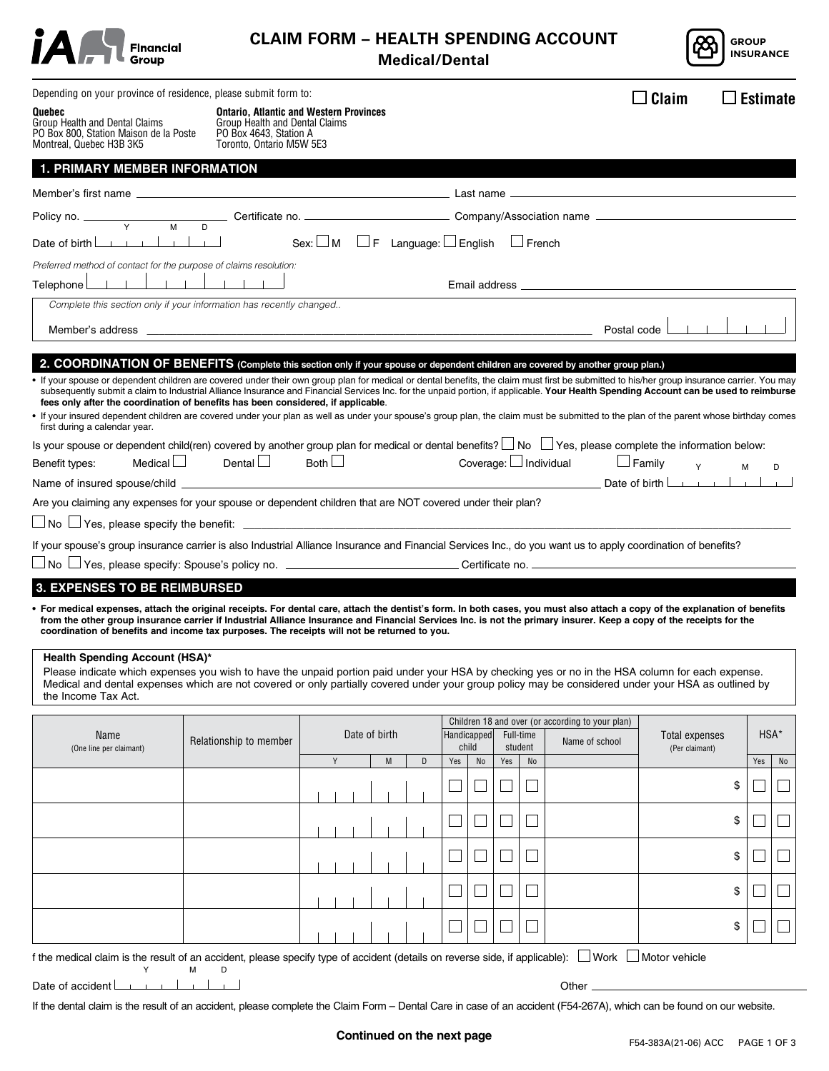|  | Financial<br>Group |
|--|--------------------|
|--|--------------------|

# **CLAIM FORM – HEALTH SPENDING ACCOUNT Medical/Dental**



| Depending on your province of residence, please submit form to:                                                                                                                                                                                                                                                                                                                                                                                                                                                                                                                                                                                                                                     |                                                                                                                      |                                                               |   |                                              |                                                  |                |                                  |                             | Claim<br>$\mathbf{L}$ | $\square$ Estimate |                     |    |
|-----------------------------------------------------------------------------------------------------------------------------------------------------------------------------------------------------------------------------------------------------------------------------------------------------------------------------------------------------------------------------------------------------------------------------------------------------------------------------------------------------------------------------------------------------------------------------------------------------------------------------------------------------------------------------------------------------|----------------------------------------------------------------------------------------------------------------------|---------------------------------------------------------------|---|----------------------------------------------|--------------------------------------------------|----------------|----------------------------------|-----------------------------|-----------------------|--------------------|---------------------|----|
| Quebec<br>Group Health and Dental Claims<br>PO Box 800, Station Maison de la Poste<br>Montreal, Quebec H3B 3K5                                                                                                                                                                                                                                                                                                                                                                                                                                                                                                                                                                                      | Group Health and Dental Claims<br>PO Box 4643, Station A<br>Toronto, Ontario M5W 5E3                                 | <b>Ontario, Atlantic and Western Provinces</b>                |   |                                              |                                                  |                |                                  |                             |                       |                    |                     |    |
| <b>1. PRIMARY MEMBER INFORMATION</b>                                                                                                                                                                                                                                                                                                                                                                                                                                                                                                                                                                                                                                                                |                                                                                                                      |                                                               |   |                                              |                                                  |                |                                  |                             |                       |                    |                     |    |
|                                                                                                                                                                                                                                                                                                                                                                                                                                                                                                                                                                                                                                                                                                     |                                                                                                                      |                                                               |   |                                              |                                                  |                |                                  |                             |                       |                    |                     |    |
|                                                                                                                                                                                                                                                                                                                                                                                                                                                                                                                                                                                                                                                                                                     |                                                                                                                      |                                                               |   |                                              |                                                  |                |                                  |                             |                       |                    |                     |    |
|                                                                                                                                                                                                                                                                                                                                                                                                                                                                                                                                                                                                                                                                                                     |                                                                                                                      | Sex: $\Box$ M $\Box$ F Language: $\Box$ English $\Box$ French |   |                                              |                                                  |                |                                  |                             |                       |                    |                     |    |
| Preferred method of contact for the purpose of claims resolution:                                                                                                                                                                                                                                                                                                                                                                                                                                                                                                                                                                                                                                   |                                                                                                                      |                                                               |   |                                              |                                                  |                |                                  |                             |                       |                    |                     |    |
|                                                                                                                                                                                                                                                                                                                                                                                                                                                                                                                                                                                                                                                                                                     |                                                                                                                      |                                                               |   |                                              |                                                  |                |                                  |                             |                       |                    |                     |    |
| Complete this section only if your information has recently changed                                                                                                                                                                                                                                                                                                                                                                                                                                                                                                                                                                                                                                 |                                                                                                                      |                                                               |   |                                              |                                                  |                |                                  |                             |                       |                    |                     |    |
| Member's address _____                                                                                                                                                                                                                                                                                                                                                                                                                                                                                                                                                                                                                                                                              | <u> 2000 - 2000 - 2000 - 2000 - 2000 - 2000 - 2000 - 2000 - 2000 - 2000 - 2000 - 2000 - 2000 - 2000 - 2000 - 200</u> |                                                               |   |                                              |                                                  |                |                                  | Postal code                 |                       |                    |                     |    |
| 2. COORDINATION OF BENEFITS (Complete this section only if your spouse or dependent children are covered by another group plan.)                                                                                                                                                                                                                                                                                                                                                                                                                                                                                                                                                                    |                                                                                                                      |                                                               |   |                                              |                                                  |                |                                  |                             |                       |                    |                     |    |
| . If your spouse or dependent children are covered under their own group plan for medical or dental benefits, the claim must first be submitted to his/her group insurance carrier. You may<br>subsequently submit a claim to Industrial Alliance Insurance and Financial Services Inc. for the unpaid portion, if applicable. Your Health Spending Account can be used to reimburse<br>fees only after the coordination of benefits has been considered, if applicable.<br>. If your insured dependent children are covered under your plan as well as under your spouse's group plan, the claim must be submitted to the plan of the parent whose birthday comes<br>first during a calendar year. |                                                                                                                      |                                                               |   |                                              |                                                  |                |                                  |                             |                       |                    |                     |    |
| Is your spouse or dependent child(ren) covered by another group plan for medical or dental benefits? $\Box$ No $\Box$ Yes, please complete the information below:                                                                                                                                                                                                                                                                                                                                                                                                                                                                                                                                   |                                                                                                                      |                                                               |   |                                              |                                                  |                |                                  |                             |                       |                    |                     |    |
| Medical $\Box$<br>Benefit types:                                                                                                                                                                                                                                                                                                                                                                                                                                                                                                                                                                                                                                                                    | Dental $\Box$                                                                                                        | Both $\Box$                                                   |   |                                              |                                                  |                |                                  | Coverage: $\Box$ Individual | $\Box$ Family<br>Y    | М                  |                     | D  |
| Are you claiming any expenses for your spouse or dependent children that are NOT covered under their plan?                                                                                                                                                                                                                                                                                                                                                                                                                                                                                                                                                                                          |                                                                                                                      |                                                               |   |                                              |                                                  |                |                                  |                             | Date of birth         |                    | $\sim$ 10 $\sim$ 10 |    |
| $\Box$ No $\Box$ Yes, please specify the benefit: $\quad \_$                                                                                                                                                                                                                                                                                                                                                                                                                                                                                                                                                                                                                                        |                                                                                                                      |                                                               |   |                                              |                                                  |                |                                  |                             |                       |                    |                     |    |
| If your spouse's group insurance carrier is also Industrial Alliance Insurance and Financial Services Inc., do you want us to apply coordination of benefits?                                                                                                                                                                                                                                                                                                                                                                                                                                                                                                                                       |                                                                                                                      |                                                               |   |                                              |                                                  |                |                                  |                             |                       |                    |                     |    |
|                                                                                                                                                                                                                                                                                                                                                                                                                                                                                                                                                                                                                                                                                                     |                                                                                                                      |                                                               |   |                                              |                                                  |                |                                  |                             |                       |                    |                     |    |
| <b>3. EXPENSES TO BE REIMBURSED</b>                                                                                                                                                                                                                                                                                                                                                                                                                                                                                                                                                                                                                                                                 |                                                                                                                      |                                                               |   |                                              |                                                  |                |                                  |                             |                       |                    |                     |    |
| • For medical expenses, attach the original receipts. For dental care, attach the dentist's form. In both cases, you must also attach a copy of the explanation of benefits<br>from the other group insurance carrier if Industrial Alliance Insurance and Financial Services Inc. is not the primary insurer. Keep a copy of the receipts for the<br>coordination of benefits and income tax purposes. The receipts will not be returned to you.                                                                                                                                                                                                                                                   |                                                                                                                      |                                                               |   |                                              |                                                  |                |                                  |                             |                       |                    |                     |    |
| <b>Health Spending Account (HSA)*</b><br>Please indicate which expenses you wish to have the unpaid portion paid under your HSA by checking yes or no in the HSA column for each expense.<br>Medical and dental expenses which are not covered or only partially covered under your group policy may be considered under your HSA as outlined by<br>the Income Tax Act.                                                                                                                                                                                                                                                                                                                             |                                                                                                                      |                                                               |   |                                              |                                                  |                |                                  |                             |                       |                    |                     |    |
|                                                                                                                                                                                                                                                                                                                                                                                                                                                                                                                                                                                                                                                                                                     |                                                                                                                      |                                                               |   |                                              | Children 18 and over (or according to your plan) |                |                                  |                             |                       |                    |                     |    |
| Name<br>(One line per claimant)                                                                                                                                                                                                                                                                                                                                                                                                                                                                                                                                                                                                                                                                     | Relationship to member                                                                                               | Date of birth                                                 |   | Handicapped<br>Full-time<br>child<br>student |                                                  | Name of school | Total expenses<br>(Per claimant) |                             | HSA*                  |                    |                     |    |
|                                                                                                                                                                                                                                                                                                                                                                                                                                                                                                                                                                                                                                                                                                     |                                                                                                                      | Y<br>M                                                        | D | Yes                                          | No                                               | Yes            | No                               |                             |                       |                    | Yes                 | No |
|                                                                                                                                                                                                                                                                                                                                                                                                                                                                                                                                                                                                                                                                                                     |                                                                                                                      |                                                               |   |                                              |                                                  |                |                                  |                             |                       | \$                 |                     |    |
|                                                                                                                                                                                                                                                                                                                                                                                                                                                                                                                                                                                                                                                                                                     |                                                                                                                      |                                                               |   |                                              |                                                  |                |                                  |                             |                       | \$                 |                     |    |
|                                                                                                                                                                                                                                                                                                                                                                                                                                                                                                                                                                                                                                                                                                     |                                                                                                                      |                                                               |   |                                              |                                                  |                |                                  |                             |                       | \$                 |                     |    |
|                                                                                                                                                                                                                                                                                                                                                                                                                                                                                                                                                                                                                                                                                                     |                                                                                                                      |                                                               |   |                                              |                                                  |                |                                  |                             |                       | \$                 |                     |    |
|                                                                                                                                                                                                                                                                                                                                                                                                                                                                                                                                                                                                                                                                                                     |                                                                                                                      |                                                               |   |                                              |                                                  |                |                                  |                             |                       | \$                 |                     |    |
| f the medical claim is the result of an accident, please specify type of accident (details on reverse side, if applicable): U Work U Motor vehicle<br>Y                                                                                                                                                                                                                                                                                                                                                                                                                                                                                                                                             | М<br>D                                                                                                               |                                                               |   |                                              |                                                  |                |                                  |                             |                       |                    |                     |    |

Other\_

If the dental claim is the result of an accident, please complete the Claim Form – Dental Care in case of an accident (F54-267A), which can be found on our website.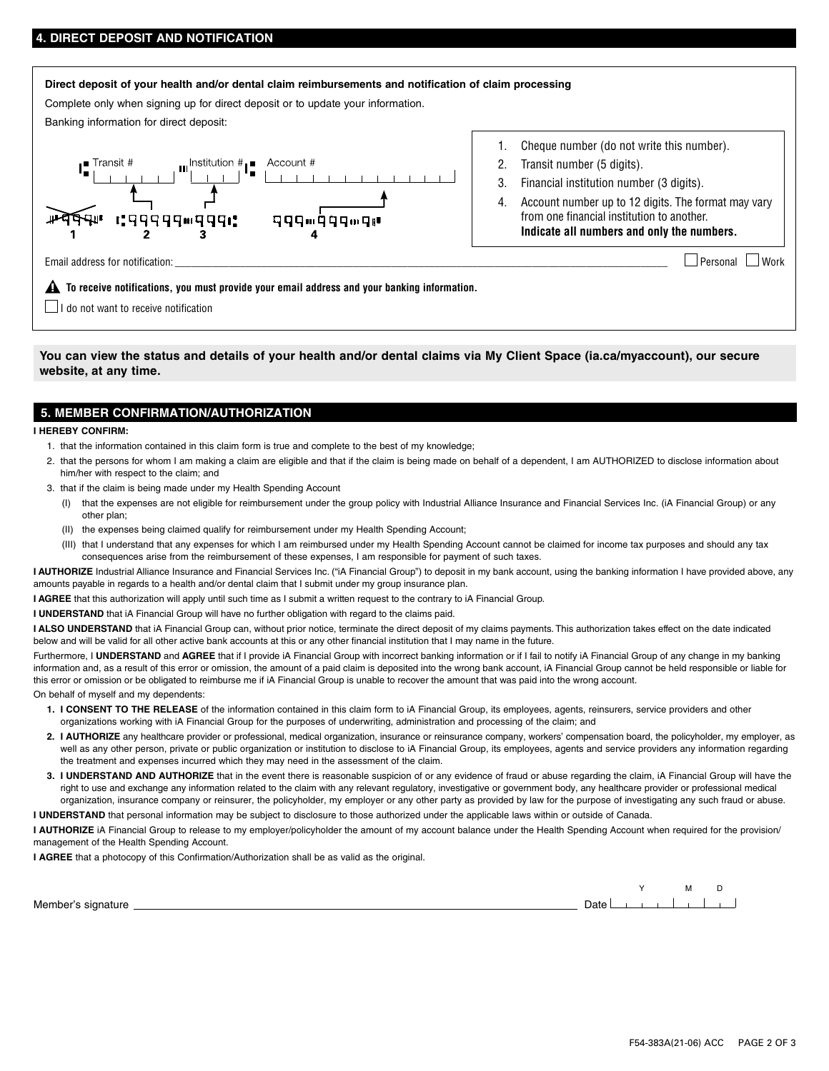## **DIRECT DEPOSIT AND NOTIFICATION**

#### **Direct deposit of your health and/or dental claim reimbursements and notification of claim processing**

Complete only when signing up for direct deposit or to update your information.

Banking information for direct deposit:



- 1. Cheque number (do not write this number).
- 2. Transit number (5 digits).
- 3. Financial institution number (3 digits).
- 4. Account number up to 12 digits. The format may vary from one financial institution to another. **Indicate all numbers and only the numbers.**

Email address for notification:  $\Box$  Work

 **To receive notifications, you must provide your email address and your banking information.**

 $\Box$  I do not want to receive notification

**You can view the status and details of your health and/or dental claims via My Client Space [\(ia.ca/myaccount](http://ia.ca/myaccount)), our secure website, at any time.**

### **5. MEMBER CONFIRMATION/AUTHORIZATION**

**I HEREBY CONFIRM:**

- 1. that the information contained in this claim form is true and complete to the best of my knowledge;
- 2. that the persons for whom I am making a claim are eligible and that if the claim is being made on behalf of a dependent, I am AUTHORIZED to disclose information about him/her with respect to the claim; and
- 3. that if the claim is being made under my Health Spending Account
	- (I) that the expenses are not eligible for reimbursement under the group policy with Industrial Alliance Insurance and Financial Services Inc. (iA Financial Group) or any other plan;
	- (II) the expenses being claimed qualify for reimbursement under my Health Spending Account;
- (III) that I understand that any expenses for which I am reimbursed under my Health Spending Account cannot be claimed for income tax purposes and should any tax consequences arise from the reimbursement of these expenses, I am responsible for payment of such taxes.
- I AUTHORIZE Industrial Alliance Insurance and Financial Services Inc. ("iA Financial Group") to deposit in my bank account, using the banking information I have provided above, any amounts payable in regards to a health and/or dental claim that I submit under my group insurance plan.

**I AGREE** that this authorization will apply until such time as I submit a written request to the contrary to iA Financial Group.

**I UNDERSTAND** that iA Financial Group will have no further obligation with regard to the claims paid.

I ALSO UNDERSTAND that iA Financial Group can, without prior notice, terminate the direct deposit of my claims payments. This authorization takes effect on the date indicated below and will be valid for all other active bank accounts at this or any other financial institution that I may name in the future.

Furthermore, I UNDERSTAND and AGREE that if I provide iA Financial Group with incorrect banking information or if I fail to notify iA Financial Group of any change in my banking information and, as a result of this error or omission, the amount of a paid claim is deposited into the wrong bank account, iA Financial Group cannot be held responsible or liable for this error or omission or be obligated to reimburse me if iA Financial Group is unable to recover the amount that was paid into the wrong account. On behalf of myself and my dependents:

- **1. I CONSENT TO THE RELEASE** of the information contained in this claim form to iA Financial Group, its employees, agents, reinsurers, service providers and other organizations working with iA Financial Group for the purposes of underwriting, administration and processing of the claim; and
- **2. I AUTHORIZE** any healthcare provider or professional, medical organization, insurance or reinsurance company, workers' compensation board, the policyholder, my employer, as well as any other person, private or public organization or institution to disclose to iA Financial Group, its employees, agents and service providers any information regarding the treatment and expenses incurred which they may need in the assessment of the claim.
- **3. I UNDERSTAND AND AUTHORIZE** that in the event there is reasonable suspicion of or any evidence of fraud or abuse regarding the claim, iA Financial Group will have the right to use and exchange any information related to the claim with any relevant regulatory, investigative or government body, any healthcare provider or professional medical organization, insurance company or reinsurer, the policyholder, my employer or any other party as provided by law for the purpose of investigating any such fraud or abuse.

**I UNDERSTAND** that personal information may be subject to disclosure to those authorized under the applicable laws within or outside of Canada.

**I AUTHORIZE** iA Financial Group to release to my employer/policyholder the amount of my account balance under the Health Spending Account when required for the provision/ management of the Health Spending Account.

**I AGREE** that a photocopy of this Confirmation/Authorization shall be as valid as the original.

Member's signature Date

Y M D